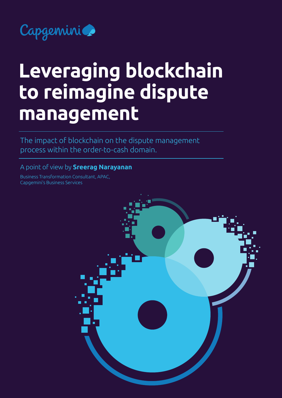

# **Leveraging blockchain to reimagine dispute management**

The impact of blockchain on the dispute management process within the order-to-cash domain.

#### A point of view by **Sreerag Narayanan**

Business Transformation Consultant, APAC, Capgemini's Business Services

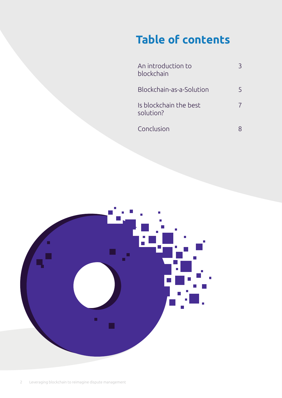## **Table of contents**

| An introduction to<br>blockchain    |  |
|-------------------------------------|--|
| Blockchain-as-a-Solution            |  |
| Is blockchain the best<br>solution? |  |
| Conclusion                          |  |

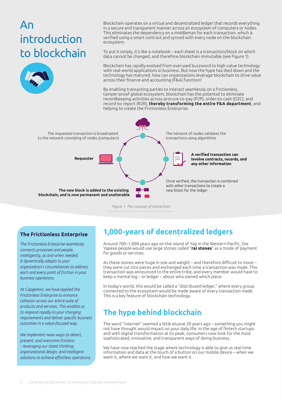### <span id="page-2-0"></span>An introduction to blockchain



Blockchain operates on a virtual and decentralized ledger that records everything in a secure and transparent manner across an ecosystem of computers or nodes. This eliminates the dependency on a middleman for each transaction, which is verified using a smart contract and synced with every node on the blockchain ecosystem.

To put it simply, it's like a notebook – each sheet is a transaction/block on which data cannot be changed, and therefore blockchain immutable (see Figure 1).

Blockchain has rapidly evolved from overused buzzword to high-value technology with real-world applications in business. But now the hype has died down and the technology has matured, how can organizations leverage blockchain to drive value across their finance and accounting (F&A) function?

By enabling transacting parties to interact seamlessly on a frictionless, tamper-proof global ecosystem, blockchain has the potential to eliminate recordkeeping activities across procure-to-pay (P2P), order-to-cash (O2C), and record-to-report (R2R), **[thereby transforming the entire F&A department](https://www.capgemini.com/2019/10/three-ways-blockchain-is-transforming-order-to-cash/)**, and helping to create the Frictionless Enterprise.



*Figure 1. The concept of blockchain*

#### **The Frictionless Enterprise**

*The Frictionless Enterprise seamlessly connects processes and people, intelligently, as and when needed. It dynamically adapts to your organization's circumstances to address each and every point of friction in your business operations.*

*At Capgemini, we have applied the Frictionless Enterprise to enhance cohesion across our entire suite of products and services. This enables us to respond rapidly to your changing requirements and deliver specific business outcomes in a value-focused way.* 

*We implement news ways to detect, prevent, and overcome frictions – leveraging our latest thinking, organizational design, and intelligent solutions to achieve effortless operations.*

### **1,000-years of decentralized ledgers**

Around 700–1,000 years ago on the island of Yap in the Western Pacific, the Yapese people would use large stones called "**[rai stones](https://www.sciencealert.com/the-original-bitcoin-still-exists-as-giant-stone-money-on-a-tiny-pacific-island)**" as a mode of payment for goods or services.

As these stones were huge in size and weight – and therefore difficult to move – they were cut into pieces and exchanged each time a transaction was made. This transaction was announced to the entire tribe, and every member would have to keep a mental log – or ledger – about who owned which piece.

In today's world, this would be called a "distributed ledger," where every group connected to the ecosystem would be made aware of every transaction made. This is a key feature of blockchain technology.

### **The hype behind blockchain**

The word "internet" seemed a little elusive 20 years ago – something you might not have thought would impact on your daily life. In the age of fintech startups and with digital transformation at its peak, consumers now look for the most sophisticated, innovative, and transparent ways of doing business.

We have now reached the stage where technology is able to give us real-time information and data at the touch of a button on our mobile device – when we want it, where we want it, and how we want it.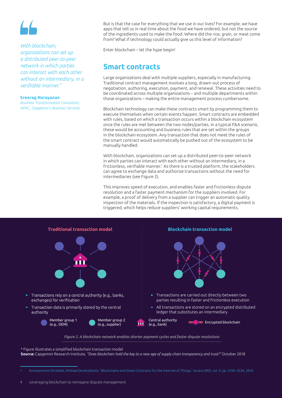#### *With blockchain,*

*organizations can set up a distributed peer-to-peer network in which parties can interact with each other without an intermediary, in a verifiable manner."*

#### **Sreerag Narayanan**

*Business Transformation Consultant, APAC, Capgemini's Business Services*

But is that the case for everything that we use in our lives? For example, we have apps that tell us in real time about the food we have ordered, but not the source of the ingredients used to make the food. Where did the rice, grain, or meat come from? What if technology could actually give us this level of information?

Enter blockchain – let the hype begin!

### **Smart contracts**

Large organizations deal with multiple suppliers, especially in manufacturing. Traditional contract management involves a long, drawn-out process of negotiation, authoring, execution, payment, and renewal. These activities need to be coordinated across multiple organizations – and multiple departments within those organizations – making the entire management process cumbersome.

Blockchain technology can make these contracts smart by programming them to execute themselves when certain events happen. Smart contracts are embedded with rules, based on which a transaction occurs within a blockchain ecosystem once the rules are met between the two nodes/parties. In a typical F&A scenario, these would be accounting and business rules that are set within the groups in the blockchain ecosystem. Any transaction that does not meet the rules of the smart contract would automatically be pushed out of the ecosystem to be manually handled.

With blockchain, organizations can set up a distributed peer-to-peer network in which parties can interact with each other without an intermediary, in a frictionless, verifiable manner.<sup>1</sup> As there is a trusted platform, the stakeholders can agree to exchange data and authorize transactions without the need for intermediaries (see Figure 2).

This improves speed of execution, and enables faster and frictionless dispute resolution and a faster payment mechanism for the suppliers involved. For example, a proof of delivery from a supplier can trigger an automatic quality inspection of the materials. If the inspection is satisfactory, a digital payment is triggered, which helps reduce suppliers' working capital requirements.



\* Figure illustrates a simplified blockchain transaction model **Source:** Capgemini Research Institute, *"Does blockchain hold the key to a new age of supply chain transparency and trust?"* October 2018

<sup>1</sup> Konstantinos Christidis, Michael Devetsikiotis, "Blockchains and Smart Contracts for the Internet of Things," Access IEEE, vol. 4, pp. 2169–3536, 2016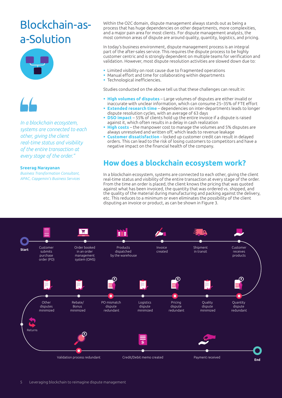### <span id="page-4-0"></span>Blockchain-asa-Solution





*In a blockchain ecosystem, systems are connected to each other, giving the client real-time status and visibility of the entire transaction at every stage of the order."*

#### **Sreerag Narayanan**

*Business Transformation Consultant, APAC, Capgemini's Business Services* Within the O2C domain, dispute management always stands out as being a process that has huge dependencies on other departments, more complexities, and a major pain area for most clients. For dispute management analysts, the most common areas of dispute are around quality, quantity, logistics, and pricing.

In today's business environment, dispute management process is an integral part of the after-sales service. This requires the dispute process to be highly customer centric and is strongly dependent on multiple teams for verification and validation. However, most dispute resolution activities are slowed down due to:

- Limited visibility on root cause due to fragmented operations
- Manual effort and time for collaborating within departments
- **Technological inefficiencies.**

Studies conducted on the above tell us that these challenges can result in:

- **High volumes of disputes** Large volumes of disputes are either invalid or inaccurate with unclear information, which can consume 25–35% of FTE effort
- **Extended research time** dependencies on inter-departments leads to longer dispute resolution cycles, with an average of 63 days
- **DSO impact** 55% of clients hold up the entire invoice if a dispute is raised against it, which often results in a delay in cash realization
- **High costs** the manpower cost to manage the volumes and 5% disputes are always unresolved and written off, which leads to revenue leakage
- **Customer dissatisfaction** locked up customer credit can result in delayed orders. This can lead to the risk of losing customers to competitors and have a negative impact on the financial health of the company.

### **How does a blockchain ecosystem work?**

In a blockchain ecosystem, systems are connected to each other, giving the client real-time status and visibility of the entire transaction at every stage of the order. From the time an order is placed, the client knows the pricing that was quoted against what has been invoiced, the quantity that was ordered vs. shipped, and the quality of the material during manufacturing and packing against the delivery, etc. This reduces to a minimum or even eliminates the possibility of the client disputing an invoice or product, as can be shown in Figure 3.

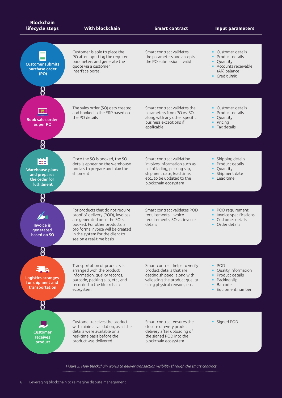

*Figure 3. How blockchain works to deliver transaction visibility through the smart contract*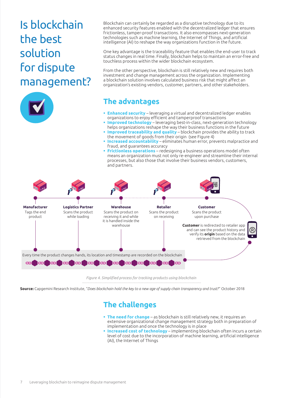## <span id="page-6-0"></span>Is blockchain the best solution for dispute management?



Blockchain can certainly be regarded as a disruptive technology due to its enhanced security features enabled with the decentralized ledger that ensures frictionless, tamper-proof transactions. It also encompasses next-generation technologies such as machine learning, the Internet of Things, and artificial intelligence (AI) to reshape the way organizations function in the future.

One key advantage is the traceability feature that enables the end-user to track status changes in real time. Finally, blockchain helps to maintain an error-free and touchless process within the wider blockchain ecosystem.

From the other perspective, blockchain is still relatively new and requires both investment and change management across the organization. Implementing a blockchain solution involves calculated business risk that might affect an organization's existing vendors, customer, partners, and other stakeholders.

### **The advantages**

- **Enhanced security** leveraging a virtual and decentralized ledger enables organizations to enjoy efficient and tamperproof transactions
- **Improved technology** leveraging best-in-class, next-generation technology helps organizations reshape the way their business functions in the future
- **Improved traceability and quality** blockchain provides the ability to track the movement of goods from their origin (see Figure 4)
- **Increased accountability** eliminates human error, prevents malpractice and fraud, and guarantees accuracy
- **Frictionless operations** redesigning a business operations model often means an organization must not only re-engineer and streamline their internal processes, but also those that involve their business vendors, customers, and partners.



*Figure 4. Simplified process for tracking products using blockchain*

**Source:** Capgemini Research Institute, "*Does blockchain hold the key to a new age of supply chain transparency and trust?*" October 2018

### **The challenges**

- **The need for change** as blockchain is still relatively new, it requires an extensive organizational change management strategy both in preparation of implementation and once the technology is in place
- **Increased cost of technology** implementing blockchain often incurs a certain level of cost due to the incorporation of machine learning, artificial intelligence (AI), the Internet of Things